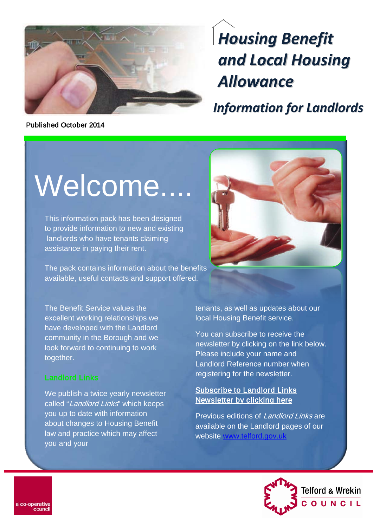

*Housing Benefit and Local Housing Allowance*

*Information for Landlords*

Published October 2014

# Welcome....

This information pack has been designed to provide information to new and existing landlords who have tenants claiming assistance in paying their rent.

The pack contains information about the benefits available, useful contacts and support offered.



The Benefit Service values the excellent working relationships we have developed with the Landlord community in the Borough and we look forward to continuing to work together.

We publish a twice yearly newsletter called "Landlord Links" which keeps you up to date with information about changes to Housing Benefit law and practice which may affect you and your

tenants, as well as updates about our local Housing Benefit service.

You can subscribe to receive the newsletter by clicking on the link below. Please include your name and Landlord Reference number when registering for the newsletter.

#### **Subscribe to Landlord Links** [Newsletter by clicking here](mailto:landlord.liaison@telford.gov.uk?subject=Landlord%20Links%20Newsletter:%20Add%20me%20to%20the%20mailing%20list)

Previous editions of Landlord Links are available on the Landlord pages of our website [www.telford.gov.uk](http://www.telford.gov.uk/site/scripts/download_info.aspx?downloadID=12&fileID=25)

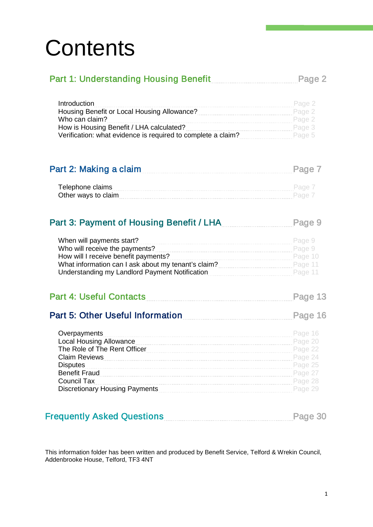## **Contents**

## Part 1: Understanding Housing Benefit Part 1: Understanding Housing Benefit

| Introduction                                                           | Page 2 |
|------------------------------------------------------------------------|--------|
| Housing Benefit or Local Housing Allowance?<br>Page 2                  |        |
| Who can claim?                                                         | Page 2 |
| How is Housing Benefit / LHA calculated?                               | Page 3 |
| Verification: what evidence is required to complete a claim?<br>Page 5 |        |

| Part 2: Making a claim | Page 7 |
|------------------------|--------|
|------------------------|--------|

| Telephone claims    |  |
|---------------------|--|
| Other ways to claim |  |

## Part 3: Payment of Housing Benefit / LHA Page 9

| When will payments start?                                      | Page 9    |  |
|----------------------------------------------------------------|-----------|--|
| Who will receive the payments?                                 | Page 9    |  |
| How will I receive benefit payments?                           | Page 10   |  |
| What information can I ask about my tenant's claim?<br>Page 11 |           |  |
| Understanding my Landlord Payment Notification                 | - Page 11 |  |

| <b>Part 4: Useful Contacts</b> |  | Page 13 |  |
|--------------------------------|--|---------|--|
|--------------------------------|--|---------|--|

## Part 5: Other Useful Information [Page 16](#page-16-0)

| Overpayments                          | Page 16 |
|---------------------------------------|---------|
| Local Housing Allowance               | Page 20 |
| The Role of The Rent Officer          | Page 22 |
| <b>Claim Reviews</b>                  | Page 24 |
| <b>Disputes</b>                       | Page 25 |
| <b>Benefit Fraud</b>                  | Page 27 |
| Council Tax                           | Page 28 |
| <b>Discretionary Housing Payments</b> | Page 29 |

| <b>Frequently Asked Questions</b> | Page 30 |  |  |  |
|-----------------------------------|---------|--|--|--|
|-----------------------------------|---------|--|--|--|

This information folder has been written and produced by Benefit Service, Telford & Wrekin Council, Addenbrooke House, Telford, TF3 4NT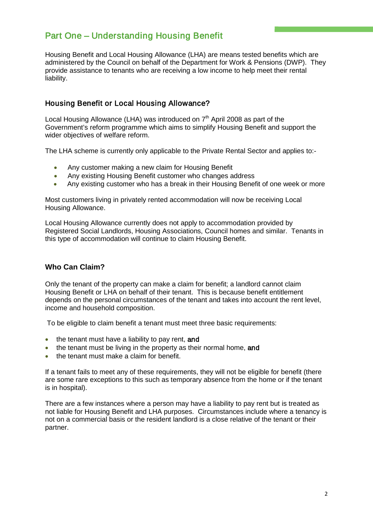## <span id="page-2-0"></span>Part One – Understanding Housing Benefit

Housing Benefit and Local Housing Allowance (LHA) are means tested benefits which are administered by the Council on behalf of the Department for Work & Pensions (DWP). They provide assistance to tenants who are receiving a low income to help meet their rental liability.

#### <span id="page-2-1"></span>Housing Benefit or Local Housing Allowance?

Local Housing Allowance (LHA) was introduced on  $7<sup>th</sup>$  April 2008 as part of the Government's reform programme which aims to simplify Housing Benefit and support the wider objectives of welfare reform.

The LHA scheme is currently only applicable to the Private Rental Sector and applies to:-

- Any customer making a new claim for Housing Benefit
- Any existing Housing Benefit customer who changes address
- Any existing customer who has a break in their Housing Benefit of one week or more

Most customers living in privately rented accommodation will now be receiving Local Housing Allowance.

Local Housing Allowance currently does not apply to accommodation provided by Registered Social Landlords, Housing Associations, Council homes and similar. Tenants in this type of accommodation will continue to claim Housing Benefit.

#### <span id="page-2-2"></span>**Who Can Claim?**

Only the tenant of the property can make a claim for benefit; a landlord cannot claim Housing Benefit or LHA on behalf of their tenant. This is because benefit entitlement depends on the personal circumstances of the tenant and takes into account the rent level, income and household composition.

To be eligible to claim benefit a tenant must meet three basic requirements:

- the tenant must have a liability to pay rent, and
- the tenant must be living in the property as their normal home, and
- the tenant must make a claim for benefit.

If a tenant fails to meet any of these requirements, they will not be eligible for benefit (there are some rare exceptions to this such as temporary absence from the home or if the tenant is in hospital).

There are a few instances where a person may have a liability to pay rent but is treated as not liable for Housing Benefit and LHA purposes. Circumstances include where a tenancy is not on a commercial basis or the resident landlord is a close relative of the tenant or their partner.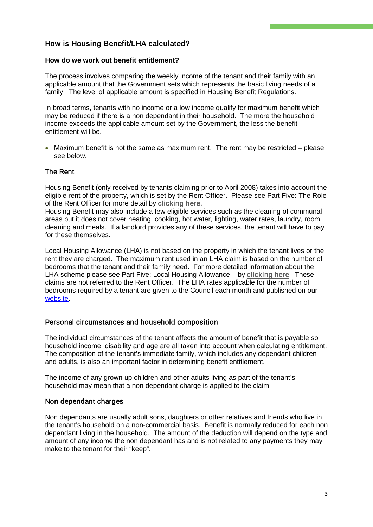#### How is Housing Benefit/LHA calculated?

#### <span id="page-3-0"></span>**How do we work out benefit entitlement?**

The process involves comparing the weekly income of the tenant and their family with an applicable amount that the Government sets which represents the basic living needs of a family. The level of applicable amount is specified in Housing Benefit Regulations.

In broad terms, tenants with no income or a low income qualify for maximum benefit which may be reduced if there is a non dependant in their household. The more the household income exceeds the applicable amount set by the Government, the less the benefit entitlement will be.

• Maximum benefit is not the same as maximum rent. The rent may be restricted – please see below.

#### The Rent

Housing Benefit (only received by tenants claiming prior to April 2008) takes into account the eligible rent of the property, which is set by the Rent Officer. Please see Part Five: The Role of the Rent Officer for more detail by [clicking here.](#page-22-0)

Housing Benefit may also include a few eligible services such as the cleaning of communal areas but it does not cover heating, cooking, hot water, lighting, water rates, laundry, room cleaning and meals. If a landlord provides any of these services, the tenant will have to pay for these themselves.

Local Housing Allowance (LHA) is not based on the property in which the tenant lives or the rent they are charged. The maximum rent used in an LHA claim is based on the number of bedrooms that the tenant and their family need. For more detailed information about the LHA scheme please see Part Five: Local Housing Allowance – by [clicking here.](#page-20-1) These claims are not referred to the Rent Officer. The LHA rates applicable for the number of bedrooms required by a tenant are given to the Council each month and published on our [website.](http://www.telford.gov.uk/)

#### Personal circumstances and household composition

The individual circumstances of the tenant affects the amount of benefit that is payable so household income, disability and age are all taken into account when calculating entitlement. The composition of the tenant's immediate family, which includes any dependant children and adults, is also an important factor in determining benefit entitlement.

The income of any grown up children and other adults living as part of the tenant's household may mean that a non dependant charge is applied to the claim.

#### Non dependant charges

Non dependants are usually adult sons, daughters or other relatives and friends who live in the tenant's household on a non-commercial basis. Benefit is normally reduced for each non dependant living in the household. The amount of the deduction will depend on the type and amount of any income the non dependant has and is not related to any payments they may make to the tenant for their "keep".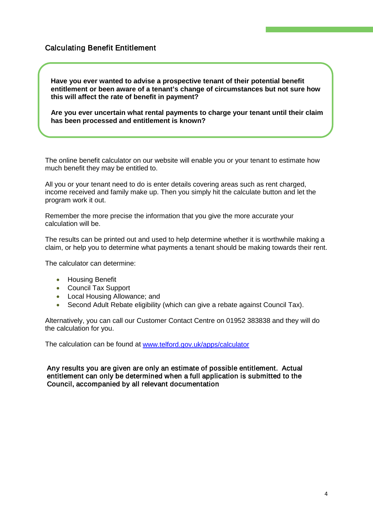#### Calculating Benefit Entitlement

í

 **Have you ever wanted to advise a prospective tenant of their potential benefit entitlement or been aware of a tenant's change of circumstances but not sure how this will affect the rate of benefit in payment?**

 **Are you ever uncertain what rental payments to charge your tenant until their claim has been processed and entitlement is known?**

The online benefit calculator on our website will enable you or your tenant to estimate how much benefit they may be entitled to.

All you or your tenant need to do is enter details covering areas such as rent charged, income received and family make up. Then you simply hit the calculate button and let the program work it out.

Remember the more precise the information that you give the more accurate your calculation will be.

The results can be printed out and used to help determine whether it is worthwhile making a claim, or help you to determine what payments a tenant should be making towards their rent.

The calculator can determine:

- Housing Benefit
- Council Tax Support
- Local Housing Allowance; and
- Second Adult Rebate eligibility (which can give a rebate against Council Tax).

Alternatively, you can call our Customer Contact Centre on 01952 383838 and they will do the calculation for you.

The calculation can be found at [www.telford.gov.uk/apps/calculator](http://www.telford.gov.uk/apps/calculator) 

#### Any results you are given are only an estimate of possible entitlement. Actual entitlement can only be determined when a full application is submitted to the Council, accompanied by all relevant documentation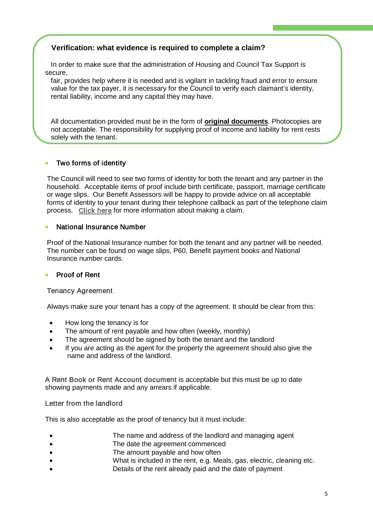#### <span id="page-5-0"></span> **Verification: what evidence is required to complete a claim?**

 In order to make sure that the administration of Housing and Council Tax Support is secure,

 fair, provides help where it is needed and is vigilant in tackling fraud and error to ensure value for the tax payer, it is necessary for the Council to verify each claimant's identity, rental liability, income and any capital they may have.

 All documentation provided must be in the form of **original documents**. Photocopies are not acceptable. The responsibility for supplying proof of income and liability for rent rests solely with the tenant.

#### • Two forms of identity

Ĩ

The Council will need to see two forms of identity for both the tenant and any partner in the household. Acceptable items of proof include birth certificate, passport, marriage certificate or wage slips. Our Benefit Assessors will be happy to provide advice on all acceptable forms of identity to your tenant during their telephone callback as part of the telephone claim process. [Click here](#page-7-0) for more information about making a claim.

#### • National Insurance Number

Proof of the National Insurance number for both the tenant and any partner will be needed. The number can be found on wage slips, P60, Benefit payment books and National Insurance number cards.

#### • Proof of Rent

#### Tenancy Agreement

Always make sure your tenant has a copy of the agreement. It should be clear from this:

- How long the tenancy is for
- The amount of rent payable and how often (weekly, monthly)
- The agreement should be signed by both the tenant and the landlord
- If you are acting as the agent for the property the agreement should also give the name and address of the landlord.

A Rent Book or Rent Account document is acceptable but this must be up to date showing payments made and any arrears if applicable.

#### Letter from the landlord

This is also acceptable as the proof of tenancy but it must include:

- The name and address of the landlord and managing agent
- The date the agreement commenced
- The amount payable and how often
- What is included in the rent, e.g. Meals, gas, electric, cleaning etc.
- Details of the rent already paid and the date of payment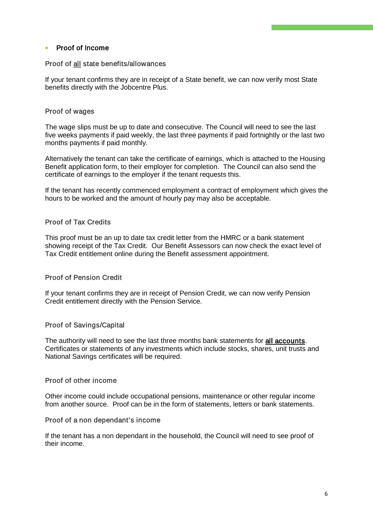#### • Proof of Income

#### Proof of all state benefits/allowances

If your tenant confirms they are in receipt of a State benefit, we can now verify most State benefits directly with the Jobcentre Plus.

#### Proof of wages

The wage slips must be up to date and consecutive. The Council will need to see the last five weeks payments if paid weekly, the last three payments if paid fortnightly or the last two months payments if paid monthly.

Alternatively the tenant can take the certificate of earnings, which is attached to the Housing Benefit application form, to their employer for completion. The Council can also send the certificate of earnings to the employer if the tenant requests this.

If the tenant has recently commenced employment a contract of employment which gives the hours to be worked and the amount of hourly pay may also be acceptable.

#### Proof of Tax Credits

This proof must be an up to date tax credit letter from the HMRC or a bank statement showing receipt of the Tax Credit. Our Benefit Assessors can now check the exact level of Tax Credit entitlement online during the Benefit assessment appointment.

#### Proof of Pension Credit

If your tenant confirms they are in receipt of Pension Credit, we can now verify Pension Credit entitlement directly with the Pension Service.

#### Proof of Savings/Capital

The authority will need to see the last three months bank statements for all accounts. Certificates or statements of any investments which include stocks, shares, unit trusts and National Savings certificates will be required.

#### Proof of other income

Other income could include occupational pensions, maintenance or other regular income from another source. Proof can be in the form of statements, letters or bank statements.

#### Proof of a non dependant's income

If the tenant has a non dependant in the household, the Council will need to see proof of their income.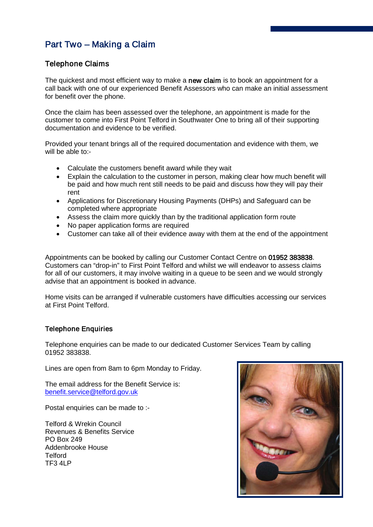## <span id="page-7-0"></span>Part Two – Making a Claim

#### <span id="page-7-1"></span>Telephone Claims

The quickest and most efficient way to make a new claim is to book an appointment for a call back with one of our experienced Benefit Assessors who can make an initial assessment for benefit over the phone.

Once the claim has been assessed over the telephone, an appointment is made for the customer to come into First Point Telford in Southwater One to bring all of their supporting documentation and evidence to be verified.

Provided your tenant brings all of the required documentation and evidence with them, we will be able to:-

- Calculate the customers benefit award while they wait
- Explain the calculation to the customer in person, making clear how much benefit will be paid and how much rent still needs to be paid and discuss how they will pay their rent
- Applications for Discretionary Housing Payments (DHPs) and Safeguard can be completed where appropriate
- Assess the claim more quickly than by the traditional application form route
- No paper application forms are required
- Customer can take all of their evidence away with them at the end of the appointment

Appointments can be booked by calling our Customer Contact Centre on 01952 383838. Customers can "drop-in" to First Point Telford and whilst we will endeavor to assess claims for all of our customers, it may involve waiting in a queue to be seen and we would strongly advise that an appointment is booked in advance.

Home visits can be arranged if vulnerable customers have difficulties accessing our services at First Point Telford.

#### Telephone Enquiries

Telephone enquiries can be made to our dedicated Customer Services Team by calling 01952 383838.

Lines are open from 8am to 6pm Monday to Friday.

The email address for the Benefit Service is: [benefit.service@telford.gov.uk](mailto:benefit.service@telford.gov.uk)

Postal enquiries can be made to :-

Telford & Wrekin Council Revenues & Benefits Service PO Box 249 Addenbrooke House **Telford** TF3 4LP

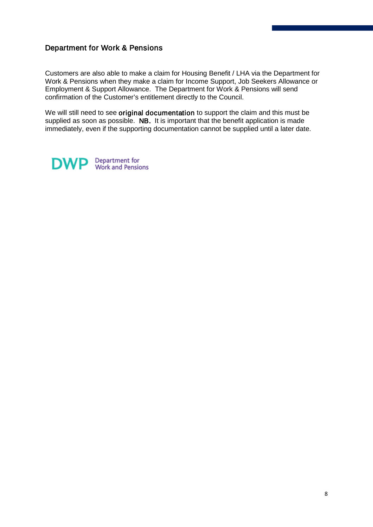#### Department for Work & Pensions

Customers are also able to make a claim for Housing Benefit / LHA via the Department for Work & Pensions when they make a claim for Income Support, Job Seekers Allowance or Employment & Support Allowance. The Department for Work & Pensions will send confirmation of the Customer's entitlement directly to the Council.

We will still need to see original documentation to support the claim and this must be supplied as soon as possible. NB. It is important that the benefit application is made immediately, even if the supporting documentation cannot be supplied until a later date.

<span id="page-8-0"></span>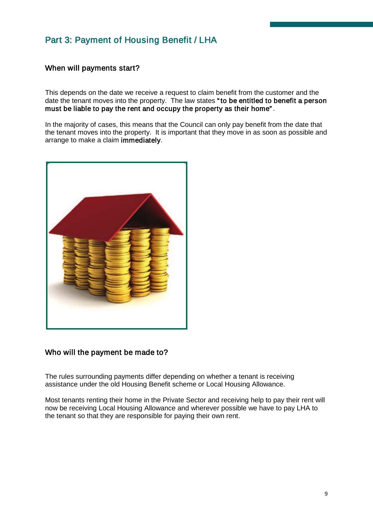## Part 3: Payment of Housing Benefit / LHA

#### <span id="page-9-0"></span>When will payments start?

This depends on the date we receive a request to claim benefit from the customer and the date the tenant moves into the property. The law states " to be entitled to benefit a person must be liable to pay the rent and occupy the property as their home".

In the majority of cases, this means that the Council can only pay benefit from the date that the tenant moves into the property. It is important that they move in as soon as possible and arrange to make a claim immediately.



#### <span id="page-9-1"></span>Who will the payment be made to?

The rules surrounding payments differ depending on whether a tenant is receiving assistance under the old Housing Benefit scheme or Local Housing Allowance.

Most tenants renting their home in the Private Sector and receiving help to pay their rent will now be receiving Local Housing Allowance and wherever possible we have to pay LHA to the tenant so that they are responsible for paying their own rent.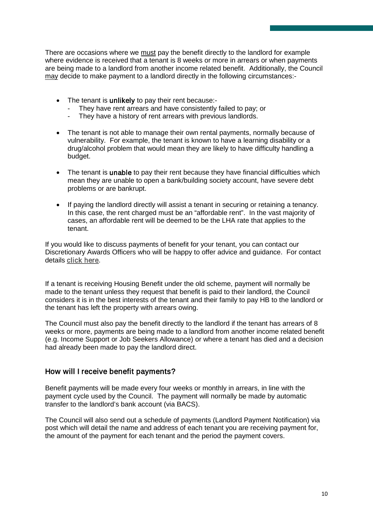There are occasions where we must pay the benefit directly to the landlord for example where evidence is received that a tenant is 8 weeks or more in arrears or when payments are being made to a landlord from another income related benefit. Additionally, the Council may decide to make payment to a landlord directly in the following circumstances:-

- The tenant is unlikely to pay their rent because:-
	- They have rent arrears and have consistently failed to pay; or
	- They have a history of rent arrears with previous landlords.
- The tenant is not able to manage their own rental payments, normally because of vulnerability. For example, the tenant is known to have a learning disability or a drug/alcohol problem that would mean they are likely to have difficulty handling a budget.
- The tenant is unable to pay their rent because they have financial difficulties which mean they are unable to open a bank/building society account, have severe debt problems or are bankrupt.
- If paying the landlord directly will assist a tenant in securing or retaining a tenancy. In this case, the rent charged must be an "affordable rent". In the vast majority of cases, an affordable rent will be deemed to be the LHA rate that applies to the tenant.

If you would like to discuss payments of benefit for your tenant, you can contact our Discretionary Awards Officers who will be happy to offer advice and guidance. For contact details [click here.](#page-13-0)

If a tenant is receiving Housing Benefit under the old scheme, payment will normally be made to the tenant unless they request that benefit is paid to their landlord, the Council considers it is in the best interests of the tenant and their family to pay HB to the landlord or the tenant has left the property with arrears owing.

The Council must also pay the benefit directly to the landlord if the tenant has arrears of 8 weeks or more, payments are being made to a landlord from another income related benefit (e.g. Income Support or Job Seekers Allowance) or where a tenant has died and a decision had already been made to pay the landlord direct.

#### <span id="page-10-0"></span>How will I receive benefit payments?

Benefit payments will be made every four weeks or monthly in arrears, in line with the payment cycle used by the Council. The payment will normally be made by automatic transfer to the landlord's bank account (via BACS).

The Council will also send out a schedule of payments (Landlord Payment Notification) via post which will detail the name and address of each tenant you are receiving payment for, the amount of the payment for each tenant and the period the payment covers.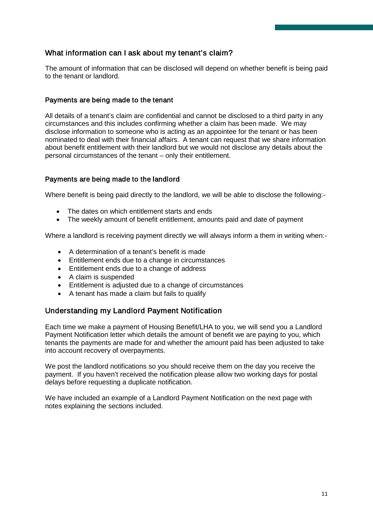#### <span id="page-11-0"></span>What information can I ask about my tenant's claim?

The amount of information that can be disclosed will depend on whether benefit is being paid to the tenant or landlord.

#### Payments are being made to the tenant

All details of a tenant's claim are confidential and cannot be disclosed to a third party in any circumstances and this includes confirming whether a claim has been made. We may disclose information to someone who is acting as an appointee for the tenant or has been nominated to deal with their financial affairs. A tenant can request that we share information about benefit entitlement with their landlord but we would not disclose any details about the personal circumstances of the tenant – only their entitlement.

#### Payments are being made to the landlord

Where benefit is being paid directly to the landlord, we will be able to disclose the following:-

- The dates on which entitlement starts and ends
- The weekly amount of benefit entitlement, amounts paid and date of payment

Where a landlord is receiving payment directly we will always inform a them in writing when:-

- A determination of a tenant's benefit is made
- Entitlement ends due to a change in circumstances
- Entitlement ends due to a change of address
- A claim is suspended
- Entitlement is adjusted due to a change of circumstances
- A tenant has made a claim but fails to qualify

#### <span id="page-11-1"></span>Understanding my Landlord Payment Notification

Each time we make a payment of Housing Benefit/LHA to you, we will send you a Landlord Payment Notification letter which details the amount of benefit we are paying to you, which tenants the payments are made for and whether the amount paid has been adjusted to take into account recovery of overpayments.

We post the landlord notifications so you should receive them on the day you receive the payment. If you haven't received the notification please allow two working days for postal delays before requesting a duplicate notification.

We have included an example of a Landlord Payment Notification on the next page with notes explaining the sections included.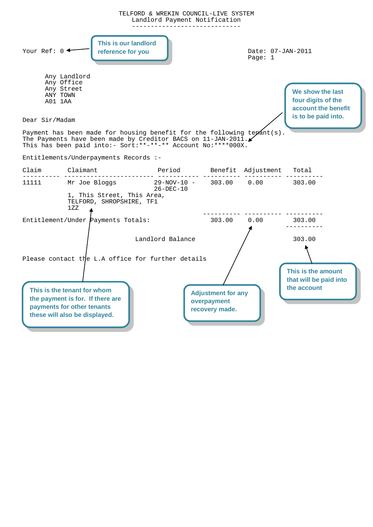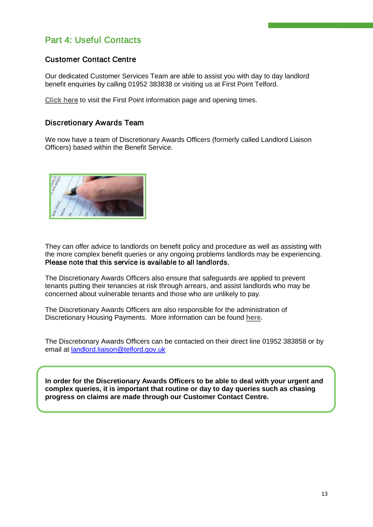## <span id="page-13-0"></span>Part 4: Useful Contacts

#### Customer Contact Centre

Our dedicated Customer Services Team are able to assist you with day to day landlord benefit enquiries by calling 01952 383838 or visiting us at First Point Telford.

[Click here](#page-15-0) to visit the First Point information page and opening times.

#### Discretionary Awards Team

We now have a team of Discretionary Awards Officers (formerly called Landlord Liaison Officers) based within the Benefit Service.



Ī

They can offer advice to landlords on benefit policy and procedure as well as assisting with the more complex benefit queries or any ongoing problems landlords may be experiencing. Please note that this service is available to all landlords.

The Discretionary Awards Officers also ensure that safeguards are applied to prevent tenants putting their tenancies at risk through arrears, and assist landlords who may be concerned about vulnerable tenants and those who are unlikely to pay.

The Discretionary Awards Officers are also responsible for the administration of Discretionary Housing Payments. More information can be found **[here.](#page-29-0)**

The Discretionary Awards Officers can be contacted on their direct line 01952 383858 or by email at [landlord.liaison@telford.gov.uk](mailto:landlord.liaison@telford.gov.uk)

**In order for the Discretionary Awards Officers to be able to deal with your urgent and complex queries, it is important that routine or day to day queries such as chasing progress on claims are made through our Customer Contact Centre.**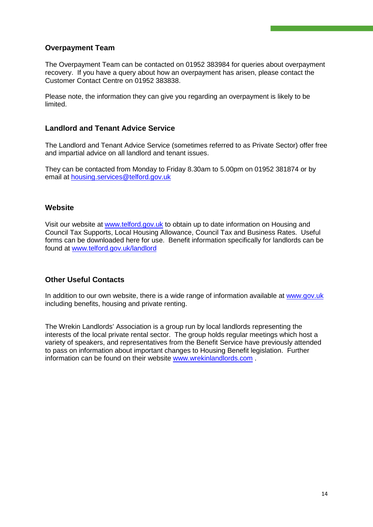#### **Overpayment Team**

The Overpayment Team can be contacted on 01952 383984 for queries about overpayment recovery. If you have a query about how an overpayment has arisen, please contact the Customer Contact Centre on 01952 383838.

Please note, the information they can give you regarding an overpayment is likely to be limited.

#### **Landlord and Tenant Advice Service**

The Landlord and Tenant Advice Service (sometimes referred to as Private Sector) offer free and impartial advice on all landlord and tenant issues.

They can be contacted from Monday to Friday 8.30am to 5.00pm on 01952 381874 or by email at [housing.services@telford.gov.uk](mailto:housing.services@telford.gov.uk)

#### **Website**

Visit our website at [www.telford.gov.uk](http://www.telford.gov.uk/) to obtain up to date information on Housing and Council Tax Supports, Local Housing Allowance, Council Tax and Business Rates. Useful forms can be downloaded here for use. Benefit information specifically for landlords can be found at [www.telford.gov.uk/landlord](http://www.telford.gov.uk/landlord)

#### **Other Useful Contacts**

In addition to our own website, there is a wide range of information available at [www.gov.uk](http://www.gov.uk/) including benefits, housing and private renting.

The Wrekin Landlords' Association is a group run by local landlords representing the interests of the local private rental sector. The group holds regular meetings which host a variety of speakers, and representatives from the Benefit Service have previously attended to pass on information about important changes to Housing Benefit legislation. Further information can be found on their website [www.wrekinlandlords.com](http://www.wrekinlandlords.com/) .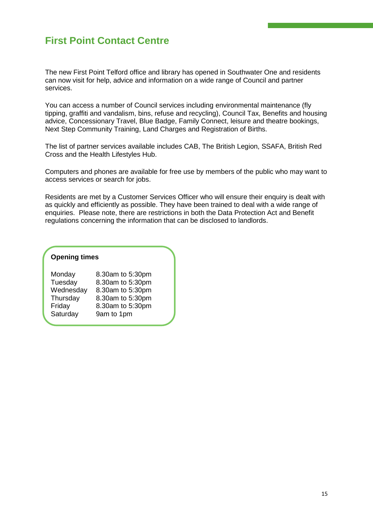## <span id="page-15-0"></span>**First Point Contact Centre**

The new First Point Telford office and library has opened in Southwater One and residents can now visit for help, advice and information on a wide range of Council and partner services.

You can access a number of Council services including environmental maintenance (fly tipping, graffiti and vandalism, bins, refuse and recycling), Council Tax, Benefits and housing advice, Concessionary Travel, Blue Badge, Family Connect, leisure and theatre bookings, Next Step Community Training, Land Charges and Registration of Births.

The list of partner services available includes CAB, The British Legion, SSAFA, British Red Cross and the Health Lifestyles Hub.

Computers and phones are available for free use by members of the public who may want to access services or search for jobs.

Residents are met by a Customer Services Officer who will ensure their enquiry is dealt with as quickly and efficiently as possible. They have been trained to deal with a wide range of enquiries. Please note, there are restrictions in both the Data Protection Act and Benefit regulations concerning the information that can be disclosed to landlords.

#### **Opening times**

| Monday    | 8.30am to 5:30pm |
|-----------|------------------|
| Tuesday   | 8.30am to 5:30pm |
| Wednesday | 8.30am to 5:30pm |
| Thursday  | 8.30am to 5:30pm |
| Friday    | 8.30am to 5:30pm |
| Saturday  | 9am to 1pm       |
|           |                  |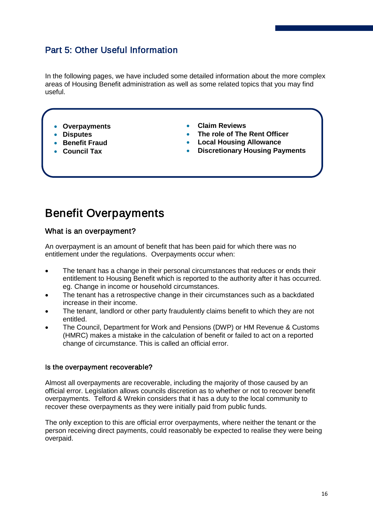## Part 5: Other Useful Information

In the following pages, we have included some detailed information about the more complex areas of Housing Benefit administration as well as some related topics that you may find useful.

- **Overpayments**
- **Disputes**

í

٦

- **Benefit Fraud**
- **Council Tax**
- **Claim Reviews**
- **The role of The Rent Officer**
- **Local Housing Allowance**
- **Discretionary Housing Payments**

## <span id="page-16-0"></span>Benefit Overpayments

#### What is an overpayment?

An overpayment is an amount of benefit that has been paid for which there was no entitlement under the regulations. Overpayments occur when:

- The tenant has a change in their personal circumstances that reduces or ends their entitlement to Housing Benefit which is reported to the authority after it has occurred. eg. Change in income or household circumstances.
- The tenant has a retrospective change in their circumstances such as a backdated increase in their income.
- The tenant, landlord or other party fraudulently claims benefit to which they are not entitled.
- The Council, Department for Work and Pensions (DWP) or HM Revenue & Customs (HMRC) makes a mistake in the calculation of benefit or failed to act on a reported change of circumstance. This is called an official error.

#### Is the overpayment recoverable?

Almost all overpayments are recoverable, including the majority of those caused by an official error. Legislation allows councils discretion as to whether or not to recover benefit overpayments. Telford & Wrekin considers that it has a duty to the local community to recover these overpayments as they were initially paid from public funds.

The only exception to this are official error overpayments, where neither the tenant or the person receiving direct payments, could reasonably be expected to realise they were being overpaid.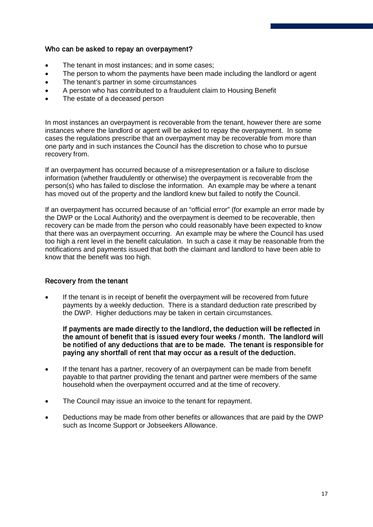#### Who can be asked to repay an overpayment?

- The tenant in most instances; and in some cases;
- The person to whom the payments have been made including the landlord or agent
- The tenant's partner in some circumstances
- A person who has contributed to a fraudulent claim to Housing Benefit
- The estate of a deceased person

In most instances an overpayment is recoverable from the tenant, however there are some instances where the landlord or agent will be asked to repay the overpayment. In some cases the regulations prescribe that an overpayment may be recoverable from more than one party and in such instances the Council has the discretion to chose who to pursue recovery from.

If an overpayment has occurred because of a misrepresentation or a failure to disclose information (whether fraudulently or otherwise) the overpayment is recoverable from the person(s) who has failed to disclose the information. An example may be where a tenant has moved out of the property and the landlord knew but failed to notify the Council.

If an overpayment has occurred because of an "official error" (for example an error made by the DWP or the Local Authority) and the overpayment is deemed to be recoverable, then recovery can be made from the person who could reasonably have been expected to know that there was an overpayment occurring. An example may be where the Council has used too high a rent level in the benefit calculation. In such a case it may be reasonable from the notifications and payments issued that both the claimant and landlord to have been able to know that the benefit was too high.

#### Recovery from the tenant

If the tenant is in receipt of benefit the overpayment will be recovered from future payments by a weekly deduction. There is a standard deduction rate prescribed by the DWP. Higher deductions may be taken in certain circumstances.

If payments are made directly to the landlord, the deduction will be reflected in the amount of benefit that is issued every four weeks / month. The landlord will be notified of any deductions that are to be made. The tenant is responsible for paying any shortfall of rent that may occur as a result of the deduction.

- If the tenant has a partner, recovery of an overpayment can be made from benefit payable to that partner providing the tenant and partner were members of the same household when the overpayment occurred and at the time of recovery.
- The Council may issue an invoice to the tenant for repayment.
- Deductions may be made from other benefits or allowances that are paid by the DWP such as Income Support or Jobseekers Allowance.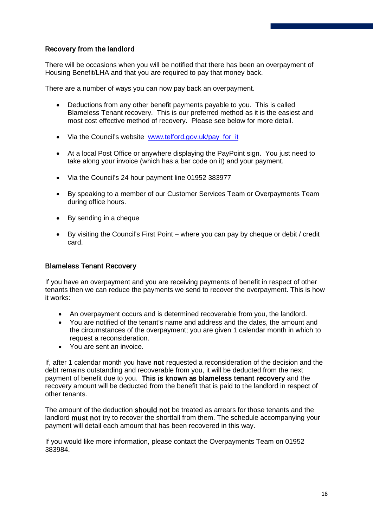#### Recovery from the landlord

There will be occasions when you will be notified that there has been an overpayment of Housing Benefit/LHA and that you are required to pay that money back.

There are a number of ways you can now pay back an overpayment.

- Deductions from any other benefit payments payable to you. This is called Blameless Tenant recovery. This is our preferred method as it is the easiest and most cost effective method of recovery. Please see below for more detail.
- Via the Council's website [www.telford.gov.uk/pay\\_for\\_it](http://www.telford.gov.uk/pay_for_it)
- At a local Post Office or anywhere displaying the PayPoint sign. You just need to take along your invoice (which has a bar code on it) and your payment.
- Via the Council's 24 hour payment line 01952 383977
- By speaking to a member of our Customer Services Team or Overpayments Team during office hours.
- By sending in a cheque
- By visiting the Council's First Point where you can pay by cheque or debit / credit card.

#### Blameless Tenant Recovery

If you have an overpayment and you are receiving payments of benefit in respect of other tenants then we can reduce the payments we send to recover the overpayment. This is how it works:

- An overpayment occurs and is determined recoverable from you, the landlord.
- You are notified of the tenant's name and address and the dates, the amount and the circumstances of the overpayment; you are given 1 calendar month in which to request a reconsideration.
- You are sent an invoice.

If, after 1 calendar month you have not requested a reconsideration of the decision and the debt remains outstanding and recoverable from you, it will be deducted from the next payment of benefit due to you. This is known as blameless tenant recovery and the recovery amount will be deducted from the benefit that is paid to the landlord in respect of other tenants.

The amount of the deduction should not be treated as arrears for those tenants and the landlord must not try to recover the shortfall from them. The schedule accompanying your payment will detail each amount that has been recovered in this way.

If you would like more information, please contact the Overpayments Team on 01952 383984.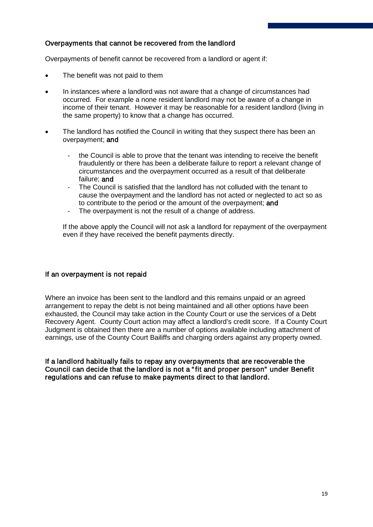#### Overpayments that cannot be recovered from the landlord

Overpayments of benefit cannot be recovered from a landlord or agent if:

- The benefit was not paid to them
- In instances where a landlord was not aware that a change of circumstances had occurred. For example a none resident landlord may not be aware of a change in income of their tenant. However it may be reasonable for a resident landlord (living in the same property) to know that a change has occurred.
- The landlord has notified the Council in writing that they suspect there has been an overpayment; and
	- the Council is able to prove that the tenant was intending to receive the benefit fraudulently or there has been a deliberate failure to report a relevant change of circumstances and the overpayment occurred as a result of that deliberate failure; and
	- The Council is satisfied that the landlord has not colluded with the tenant to cause the overpayment and the landlord has not acted or neglected to act so as to contribute to the period or the amount of the overpayment; and
	- The overpayment is not the result of a change of address.

If the above apply the Council will not ask a landlord for repayment of the overpayment even if they have received the benefit payments directly.

#### If an overpayment is not repaid

Where an invoice has been sent to the landlord and this remains unpaid or an agreed arrangement to repay the debt is not being maintained and all other options have been exhausted, the Council may take action in the County Court or use the services of a Debt Recovery Agent. County Court action may affect a landlord's credit score. If a County Court Judgment is obtained then there are a number of options available including attachment of earnings, use of the County Court Bailiffs and charging orders against any property owned.

If a landlord habitually fails to repay any overpayments that are recoverable the Council can decide that the landlord is not a " fit and proper person" under Benefit regulations and can refuse to make payments direct to that landlord.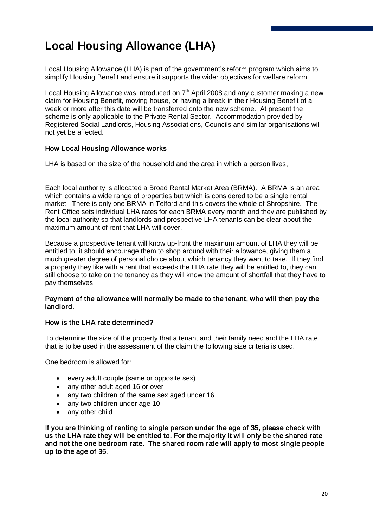## <span id="page-20-1"></span><span id="page-20-0"></span>Local Housing Allowance (LHA)

Local Housing Allowance (LHA) is part of the government's reform program which aims to simplify Housing Benefit and ensure it supports the wider objectives for welfare reform.

Local Housing Allowance was introduced on  $7<sup>th</sup>$  April 2008 and any customer making a new claim for Housing Benefit, moving house, or having a break in their Housing Benefit of a week or more after this date will be transferred onto the new scheme. At present the scheme is only applicable to the Private Rental Sector. Accommodation provided by Registered Social Landlords, Housing Associations, Councils and similar organisations will not yet be affected.

#### How Local Housing Allowance works

LHA is based on the size of the household and the area in which a person lives.

Each local authority is allocated a Broad Rental Market Area (BRMA). A BRMA is an area which contains a wide range of properties but which is considered to be a single rental market. There is only one BRMA in Telford and this covers the whole of Shropshire. The Rent Office sets individual LHA rates for each BRMA every month and they are published by the local authority so that landlords and prospective LHA tenants can be clear about the maximum amount of rent that LHA will cover.

Because a prospective tenant will know up-front the maximum amount of LHA they will be entitled to, it should encourage them to shop around with their allowance, giving them a much greater degree of personal choice about which tenancy they want to take. If they find a property they like with a rent that exceeds the LHA rate they will be entitled to, they can still choose to take on the tenancy as they will know the amount of shortfall that they have to pay themselves.

#### Payment of the allowance will normally be made to the tenant, who will then pay the landlord.

#### How is the LHA rate determined?

To determine the size of the property that a tenant and their family need and the LHA rate that is to be used in the assessment of the claim the following size criteria is used.

One bedroom is allowed for:

- every adult couple (same or opposite sex)
- any other adult aged 16 or over
- any two children of the same sex aged under 16
- any two children under age 10
- any other child

If you are thinking of renting to single person under the age of 35, please check with us the LHA rate they will be entitled to. For the majority it will only be the shared rate and not the one bedroom rate. The shared room rate will apply to most single people up to the age of 35.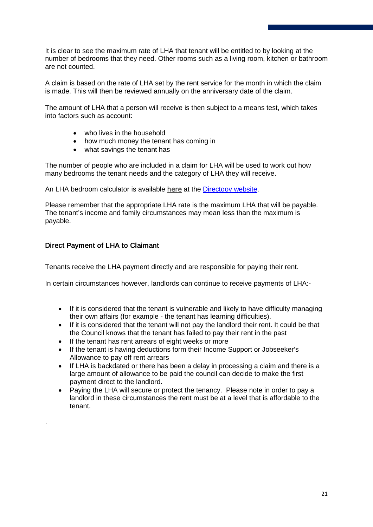It is clear to see the maximum rate of LHA that tenant will be entitled to by looking at the number of bedrooms that they need. Other rooms such as a living room, kitchen or bathroom are not counted.

A claim is based on the rate of LHA set by the rent service for the month in which the claim is made. This will then be reviewed annually on the anniversary date of the claim.

The amount of LHA that a person will receive is then subject to a means test, which takes into factors such as account:

- who lives in the household
- how much money the tenant has coming in
- what savings the tenant has

The number of people who are included in a claim for LHA will be used to work out how many bedrooms the tenant needs and the category of LHA they will receive.

An LHA bedroom calculator is available [here](http://www.direct.gov.uk/en/Diol1/DoItOnline/DG_196239) at the [Directgov website.](http://www.direct.gov.uk/en/Diol1/DoItOnline/DG_196239)

Please remember that the appropriate LHA rate is the maximum LHA that will be payable. The tenant's income and family circumstances may mean less than the maximum is payable.

#### Direct Payment of LHA to Claimant

.

Tenants receive the LHA payment directly and are responsible for paying their rent.

In certain circumstances however, landlords can continue to receive payments of LHA:-

- If it is considered that the tenant is vulnerable and likely to have difficulty managing their own affairs (for example - the tenant has learning difficulties).
- If it is considered that the tenant will not pay the landlord their rent. It could be that the Council knows that the tenant has failed to pay their rent in the past
- If the tenant has rent arrears of eight weeks or more
- If the tenant is having deductions form their Income Support or Jobseeker's Allowance to pay off rent arrears
- If LHA is backdated or there has been a delay in processing a claim and there is a large amount of allowance to be paid the council can decide to make the first payment direct to the landlord.
- Paying the LHA will secure or protect the tenancy. Please note in order to pay a landlord in these circumstances the rent must be at a level that is affordable to the tenant.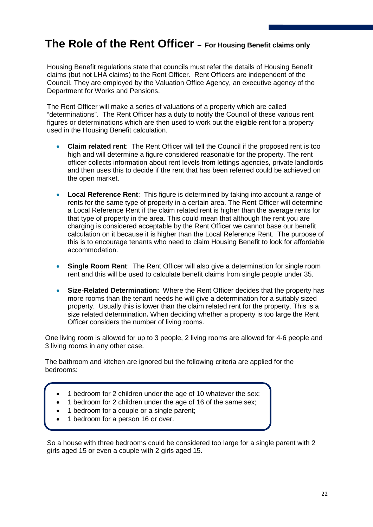## <span id="page-22-0"></span>**The Role of the Rent Officer – For Housing Benefit claims only**

Housing Benefit regulations state that councils must refer the details of Housing Benefit claims (but not LHA claims) to the Rent Officer. Rent Officers are independent of the Council. They are employed by the Valuation Office Agency, an executive agency of the Department for Works and Pensions.

The Rent Officer will make a series of valuations of a property which are called "determinations". The Rent Officer has a duty to notify the Council of these various rent figures or determinations which are then used to work out the eligible rent for a property used in the Housing Benefit calculation.

- **Claim related rent**: The Rent Officer will tell the Council if the proposed rent is too high and will determine a figure considered reasonable for the property. The rent officer collects information about rent levels from lettings agencies, private landlords and then uses this to decide if the rent that has been referred could be achieved on the open market.
- **Local Reference Rent**: This figure is determined by taking into account a range of rents for the same type of property in a certain area. The Rent Officer will determine a Local Reference Rent if the claim related rent is higher than the average rents for that type of property in the area. This could mean that although the rent you are charging is considered acceptable by the Rent Officer we cannot base our benefit calculation on it because it is higher than the Local Reference Rent. The purpose of this is to encourage tenants who need to claim Housing Benefit to look for affordable accommodation.
- **Single Room Rent**: The Rent Officer will also give a determination for single room rent and this will be used to calculate benefit claims from single people under 35.
- **Size-Related Determination:** Where the Rent Officer decides that the property has more rooms than the tenant needs he will give a determination for a suitably sized property. Usually this is lower than the claim related rent for the property. This is a size related determination**.** When deciding whether a property is too large the Rent Officer considers the number of living rooms.

One living room is allowed for up to 3 people, 2 living rooms are allowed for 4-6 people and 3 living rooms in any other case.

The bathroom and kitchen are ignored but the following criteria are applied for the bedrooms:

- 1 bedroom for 2 children under the age of 10 whatever the sex;
- 1 bedroom for 2 children under the age of 16 of the same sex;
- 1 bedroom for a couple or a single parent;
- 1 bedroom for a person 16 or over.

So a house with three bedrooms could be considered too large for a single parent with 2 girls aged 15 or even a couple with 2 girls aged 15.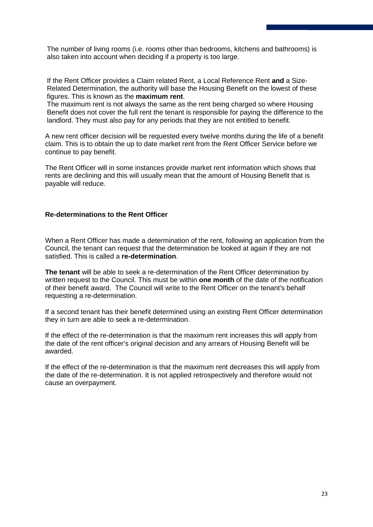The number of living rooms (i.e. rooms other than bedrooms, kitchens and bathrooms) is also taken into account when deciding if a property is too large.

If the Rent Officer provides a Claim related Rent, a Local Reference Rent **and** a Size-Related Determination, the authority will base the Housing Benefit on the lowest of these figures. This is known as the **maximum rent**.

The maximum rent is not always the same as the rent being charged so where Housing Benefit does not cover the full rent the tenant is responsible for paying the difference to the landlord. They must also pay for any periods that they are not entitled to benefit.

A new rent officer decision will be requested every twelve months during the life of a benefit claim. This is to obtain the up to date market rent from the Rent Officer Service before we continue to pay benefit.

The Rent Officer will in some instances provide market rent information which shows that rents are declining and this will usually mean that the amount of Housing Benefit that is payable will reduce.

#### **Re-determinations to the Rent Officer**

When a Rent Officer has made a determination of the rent, following an application from the Council, the tenant can request that the determination be looked at again if they are not satisfied. This is called a **re-determination**.

**The tenant** will be able to seek a re-determination of the Rent Officer determination by written request to the Council. This must be within **one month** of the date of the notification of their benefit award. The Council will write to the Rent Officer on the tenant's behalf requesting a re-determination.

If a second tenant has their benefit determined using an existing Rent Officer determination they in turn are able to seek a re-determination.

If the effect of the re-determination is that the maximum rent increases this will apply from the date of the rent officer's original decision and any arrears of Housing Benefit will be awarded.

If the effect of the re-determination is that the maximum rent decreases this will apply from the date of the re-determination. It is not applied retrospectively and therefore would not cause an overpayment.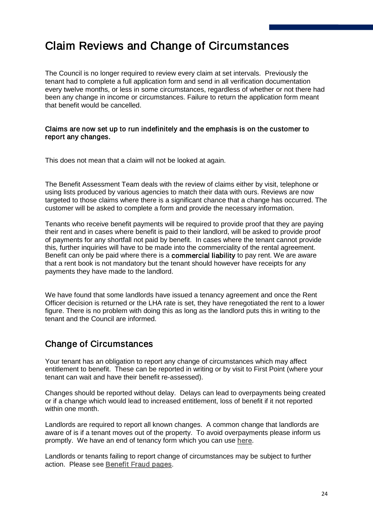## <span id="page-24-0"></span>Claim Reviews and Change of Circumstances

The Council is no longer required to review every claim at set intervals. Previously the tenant had to complete a full application form and send in all verification documentation every twelve months, or less in some circumstances, regardless of whether or not there had been any change in income or circumstances. Failure to return the application form meant that benefit would be cancelled.

#### Claims are now set up to run indefinitely and the emphasis is on the customer to report any changes.

This does not mean that a claim will not be looked at again.

The Benefit Assessment Team deals with the review of claims either by visit, telephone or using lists produced by various agencies to match their data with ours. Reviews are now targeted to those claims where there is a significant chance that a change has occurred. The customer will be asked to complete a form and provide the necessary information.

Tenants who receive benefit payments will be required to provide proof that they are paying their rent and in cases where benefit is paid to their landlord, will be asked to provide proof of payments for any shortfall not paid by benefit. In cases where the tenant cannot provide this, further inquiries will have to be made into the commerciality of the rental agreement. Benefit can only be paid where there is a commercial liability to pay rent. We are aware that a rent book is not mandatory but the tenant should however have receipts for any payments they have made to the landlord.

We have found that some landlords have issued a tenancy agreement and once the Rent Officer decision is returned or the LHA rate is set, they have renegotiated the rent to a lower figure. There is no problem with doing this as long as the landlord puts this in writing to the tenant and the Council are informed.

### Change of Circumstances

Your tenant has an obligation to report any change of circumstances which may affect entitlement to benefit. These can be reported in writing or by visit to First Point (where your tenant can wait and have their benefit re-assessed).

Changes should be reported without delay. Delays can lead to overpayments being created or if a change which would lead to increased entitlement, loss of benefit if it not reported within one month

Landlords are required to report all known changes. A common change that landlords are aware of is if a tenant moves out of the property. To avoid overpayments please inform us promptly. We have an end of tenancy form which you can use [here.](#page-32-0)

Landlords or tenants failing to report change of circumstances may be subject to further action. Please see [Benefit Fraud pages.](#page-27-0)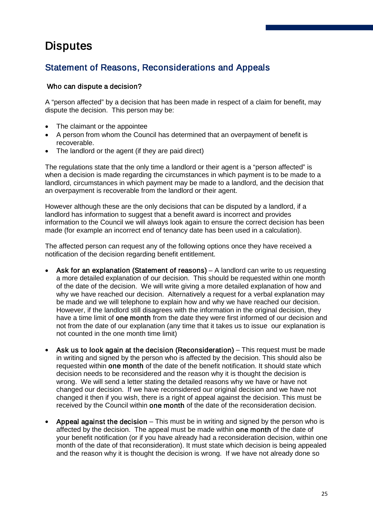## <span id="page-25-0"></span>**Disputes**

## Statement of Reasons, Reconsiderations and Appeals

#### Who can dispute a decision?

A "person affected" by a decision that has been made in respect of a claim for benefit, may dispute the decision. This person may be:

- The claimant or the appointee
- A person from whom the Council has determined that an overpayment of benefit is recoverable.
- The landlord or the agent (if they are paid direct)

The regulations state that the only time a landlord or their agent is a "person affected" is when a decision is made regarding the circumstances in which payment is to be made to a landlord, circumstances in which payment may be made to a landlord, and the decision that an overpayment is recoverable from the landlord or their agent.

However although these are the only decisions that can be disputed by a landlord, if a landlord has information to suggest that a benefit award is incorrect and provides information to the Council we will always look again to ensure the correct decision has been made (for example an incorrect end of tenancy date has been used in a calculation).

The affected person can request any of the following options once they have received a notification of the decision regarding benefit entitlement.

- Ask for an explanation (Statement of reasons) A landlord can write to us requesting a more detailed explanation of our decision. This should be requested within one month of the date of the decision. We will write giving a more detailed explanation of how and why we have reached our decision. Alternatively a request for a verbal explanation may be made and we will telephone to explain how and why we have reached our decision. However, if the landlord still disagrees with the information in the original decision, they have a time limit of one month from the date they were first informed of our decision and not from the date of our explanation (any time that it takes us to issue our explanation is not counted in the one month time limit)
- Ask us to look again at the decision (Reconsideration) This request must be made in writing and signed by the person who is affected by the decision. This should also be requested within one month of the date of the benefit notification. It should state which decision needs to be reconsidered and the reason why it is thought the decision is wrong. We will send a letter stating the detailed reasons why we have or have not changed our decision. If we have reconsidered our original decision and we have not changed it then if you wish, there is a right of appeal against the decision. This must be received by the Council within one month of the date of the reconsideration decision.
- Appeal against the decision  $-$  This must be in writing and signed by the person who is affected by the decision. The appeal must be made within one month of the date of your benefit notification (or if you have already had a reconsideration decision, within one month of the date of that reconsideration). It must state which decision is being appealed and the reason why it is thought the decision is wrong. If we have not already done so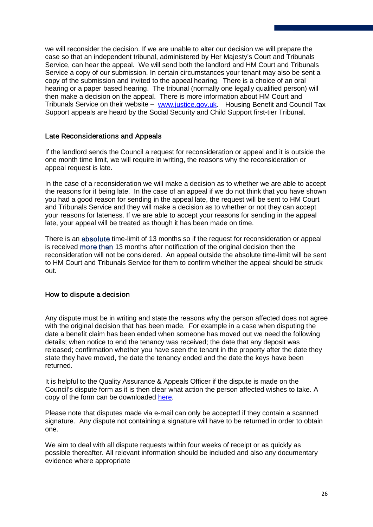we will reconsider the decision. If we are unable to alter our decision we will prepare the case so that an independent tribunal, administered by Her Majesty's Court and Tribunals Service, can hear the appeal. We will send both the landlord and HM Court and Tribunals Service a copy of our submission. In certain circumstances your tenant may also be sent a copy of the submission and invited to the appeal hearing. There is a choice of an oral hearing or a paper based hearing. The tribunal (normally one legally qualified person) will then make a decision on the appeal. There is more information about HM Court and Tribunals Service on their website – [www.justice.gov.uk](http://www.justice.gov.uk/). Housing Benefit and Council Tax Support appeals are heard by the Social Security and Child Support first-tier Tribunal.

#### Late Reconsiderations and Appeals

If the landlord sends the Council a request for reconsideration or appeal and it is outside the one month time limit, we will require in writing, the reasons why the reconsideration or appeal request is late.

In the case of a reconsideration we will make a decision as to whether we are able to accept the reasons for it being late. In the case of an appeal if we do not think that you have shown you had a good reason for sending in the appeal late, the request will be sent to HM Court and Tribunals Service and they will make a decision as to whether or not they can accept your reasons for lateness. If we are able to accept your reasons for sending in the appeal late, your appeal will be treated as though it has been made on time.

There is an absolute time-limit of 13 months so if the request for reconsideration or appeal is received more than 13 months after notification of the original decision then the reconsideration will not be considered. An appeal outside the absolute time-limit will be sent to HM Court and Tribunals Service for them to confirm whether the appeal should be struck out.

#### How to dispute a decision

Any dispute must be in writing and state the reasons why the person affected does not agree with the original decision that has been made. For example in a case when disputing the date a benefit claim has been ended when someone has moved out we need the following details; when notice to end the tenancy was received; the date that any deposit was released; confirmation whether you have seen the tenant in the property after the date they state they have moved, the date the tenancy ended and the date the keys have been returned.

It is helpful to the Quality Assurance & Appeals Officer if the dispute is made on the Council's dispute form as it is then clear what action the person affected wishes to take. A copy of the form can be downloaded [here.](http://www.telford.gov.uk/site/scripts/download_info.aspx?downloadID=12&fileID=17)

Please note that disputes made via e-mail can only be accepted if they contain a scanned signature. Any dispute not containing a signature will have to be returned in order to obtain one.

We aim to deal with all dispute requests within four weeks of receipt or as quickly as possible thereafter. All relevant information should be included and also any documentary evidence where appropriate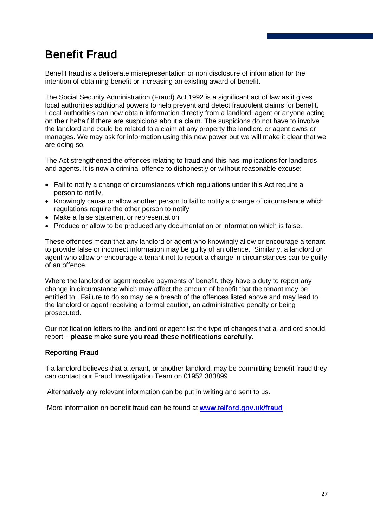## <span id="page-27-0"></span>Benefit Fraud

Benefit fraud is a deliberate misrepresentation or non disclosure of information for the intention of obtaining benefit or increasing an existing award of benefit.

The Social Security Administration (Fraud) Act 1992 is a significant act of law as it gives local authorities additional powers to help prevent and detect fraudulent claims for benefit. Local authorities can now obtain information directly from a landlord, agent or anyone acting on their behalf if there are suspicions about a claim. The suspicions do not have to involve the landlord and could be related to a claim at any property the landlord or agent owns or manages. We may ask for information using this new power but we will make it clear that we are doing so.

The Act strengthened the offences relating to fraud and this has implications for landlords and agents. It is now a criminal offence to dishonestly or without reasonable excuse:

- Fail to notify a change of circumstances which regulations under this Act require a person to notify.
- Knowingly cause or allow another person to fail to notify a change of circumstance which regulations require the other person to notify
- Make a false statement or representation
- Produce or allow to be produced any documentation or information which is false.

These offences mean that any landlord or agent who knowingly allow or encourage a tenant to provide false or incorrect information may be guilty of an offence. Similarly, a landlord or agent who allow or encourage a tenant not to report a change in circumstances can be guilty of an offence.

Where the landlord or agent receive payments of benefit, they have a duty to report any change in circumstance which may affect the amount of benefit that the tenant may be entitled to. Failure to do so may be a breach of the offences listed above and may lead to the landlord or agent receiving a formal caution, an administrative penalty or being prosecuted.

Our notification letters to the landlord or agent list the type of changes that a landlord should report – please make sure you read these notifications carefully.

#### Reporting Fraud

If a landlord believes that a tenant, or another landlord, may be committing benefit fraud they can contact our Fraud Investigation Team on 01952 383899.

Alternatively any relevant information can be put in writing and sent to us.

More information on benefit fraud can be found at www.telford.gov.uk/fraud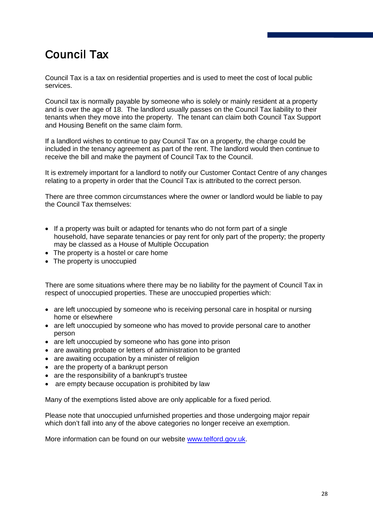## <span id="page-28-0"></span>Council Tax

Council Tax is a tax on residential properties and is used to meet the cost of local public services.

Council tax is normally payable by someone who is solely or mainly resident at a property and is over the age of 18. The landlord usually passes on the Council Tax liability to their tenants when they move into the property. The tenant can claim both Council Tax Support and Housing Benefit on the same claim form.

If a landlord wishes to continue to pay Council Tax on a property, the charge could be included in the tenancy agreement as part of the rent. The landlord would then continue to receive the bill and make the payment of Council Tax to the Council.

It is extremely important for a landlord to notify our Customer Contact Centre of any changes relating to a property in order that the Council Tax is attributed to the correct person.

There are three common circumstances where the owner or landlord would be liable to pay the Council Tax themselves:

- If a property was built or adapted for tenants who do not form part of a single household, have separate tenancies or pay rent for only part of the property; the property may be classed as a House of Multiple Occupation
- The property is a hostel or care home
- The property is unoccupied

There are some situations where there may be no liability for the payment of Council Tax in respect of unoccupied properties. These are unoccupied properties which:

- are left unoccupied by someone who is receiving personal care in hospital or nursing home or elsewhere
- are left unoccupied by someone who has moved to provide personal care to another person
- are left unoccupied by someone who has gone into prison
- are awaiting probate or letters of administration to be granted
- are awaiting occupation by a minister of religion
- are the property of a bankrupt person
- are the responsibility of a bankrupt's trustee
- are empty because occupation is prohibited by law

Many of the exemptions listed above are only applicable for a fixed period.

Please note that unoccupied unfurnished properties and those undergoing major repair which don't fall into any of the above categories no longer receive an exemption.

More information can be found on our website [www.telford.gov.uk.](http://www.telford.gov.uk/info/200028/council_tax)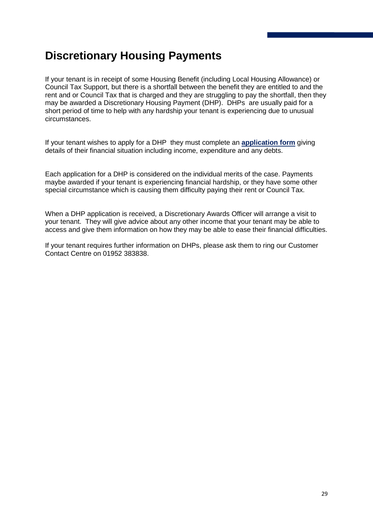## <span id="page-29-0"></span>**Discretionary Housing Payments**

If your tenant is in receipt of some Housing Benefit (including Local Housing Allowance) or Council Tax Support, but there is a shortfall between the benefit they are entitled to and the rent and or Council Tax that is charged and they are struggling to pay the shortfall, then they may be awarded a Discretionary Housing Payment (DHP). DHPs are usually paid for a short period of time to help with any hardship your tenant is experiencing due to unusual circumstances.

If your tenant wishes to apply for a DHP they must complete an **[application form](http://www.telford.gov.uk/site/scripts/download_info.aspx?downloadID=21)** giving details of their financial situation including income, expenditure and any debts.

Each application for a DHP is considered on the individual merits of the case. Payments maybe awarded if your tenant is experiencing financial hardship, or they have some other special circumstance which is causing them difficulty paying their rent or Council Tax.

When a DHP application is received, a Discretionary Awards Officer will arrange a visit to your tenant. They will give advice about any other income that your tenant may be able to access and give them information on how they may be able to ease their financial difficulties.

If your tenant requires further information on DHPs, please ask them to ring our Customer Contact Centre on 01952 383838.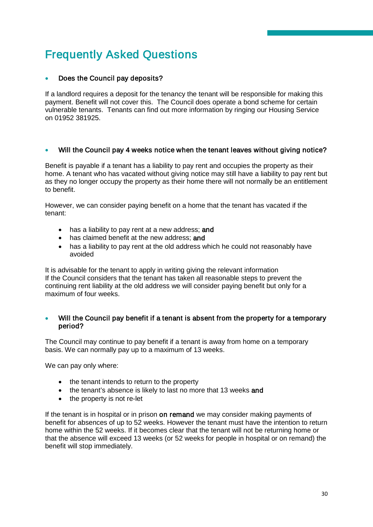## <span id="page-30-0"></span>Frequently Asked Questions

#### • Does the Council pay deposits?

If a landlord requires a deposit for the tenancy the tenant will be responsible for making this payment. Benefit will not cover this. The Council does operate a bond scheme for certain vulnerable tenants. Tenants can find out more information by ringing our Housing Service on 01952 381925.

#### Will the Council pay 4 weeks notice when the tenant leaves without giving notice?

Benefit is payable if a tenant has a liability to pay rent and occupies the property as their home. A tenant who has vacated without giving notice may still have a liability to pay rent but as they no longer occupy the property as their home there will not normally be an entitlement to benefit.

However, we can consider paying benefit on a home that the tenant has vacated if the tenant:

- has a liability to pay rent at a new address: and
- has claimed benefit at the new address: and
- has a liability to pay rent at the old address which he could not reasonably have avoided

It is advisable for the tenant to apply in writing giving the relevant information If the Council considers that the tenant has taken all reasonable steps to prevent the continuing rent liability at the old address we will consider paying benefit but only for a maximum of four weeks.

#### Will the Council pay benefit if a tenant is absent from the property for a temporary period?

The Council may continue to pay benefit if a tenant is away from home on a temporary basis. We can normally pay up to a maximum of 13 weeks.

We can pay only where:

- the tenant intends to return to the property
- the tenant's absence is likely to last no more that 13 weeks and
- the property is not re-let

If the tenant is in hospital or in prison on remand we may consider making payments of benefit for absences of up to 52 weeks. However the tenant must have the intention to return home within the 52 weeks. If it becomes clear that the tenant will not be returning home or that the absence will exceed 13 weeks (or 52 weeks for people in hospital or on remand) the benefit will stop immediately.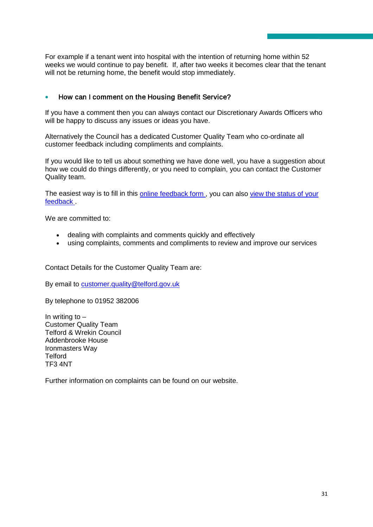For example if a tenant went into hospital with the intention of returning home within 52 weeks we would continue to pay benefit. If, after two weeks it becomes clear that the tenant will not be returning home, the benefit would stop immediately.

#### • How can I comment on the Housing Benefit Service?

If you have a comment then you can always contact our Discretionary Awards Officers who will be happy to discuss any issues or ideas you have.

Alternatively the Council has a dedicated Customer Quality Team who co-ordinate all customer feedback including compliments and complaints.

If you would like to tell us about something we have done well, you have a suggestion about how we could do things differently, or you need to complain, you can contact the Customer Quality team.

The easiest way is to fill in this [online feedback form](http://respond.telford.gov.uk/respondcustomer/createfeedback.aspx), you can also view the status of your [feedback](http://respond.telford.gov.uk/respondcustomer/FeedbackSearch.aspx) .

We are committed to:

- dealing with complaints and comments quickly and effectively
- using complaints, comments and compliments to review and improve our services

Contact Details for the Customer Quality Team are:

By email to [customer.quality@telford.gov.uk](mailto:customer.quality@telford.gov.uk)

By telephone to 01952 382006

In writing to  $-$ Customer Quality Team Telford & Wrekin Council Addenbrooke House Ironmasters Way **Telford** TF3 4NT

Further information on complaints can be found on our website.